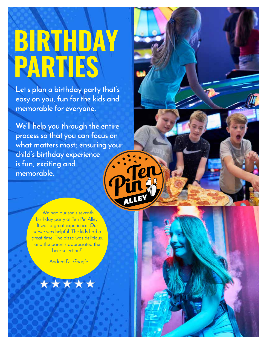# **BIRTHDAY PARTIES**

**Let's plan a birthday party that's easy on you, fun for the kids and memorable for everyone.** 

**We'll help you through the entire process so that you can focus on what matters most; ensuring your child's birthday experience is fun, exciting and memorable.**

> "We had our son's seventh birthday party at Ten Pin Alley. It was a great experience. Our server was helpful. The kids had a great time. The pizza was delicious, and the parents appreciated the beer selection!"

> > - Andrea D. *Google*

\* \* \*